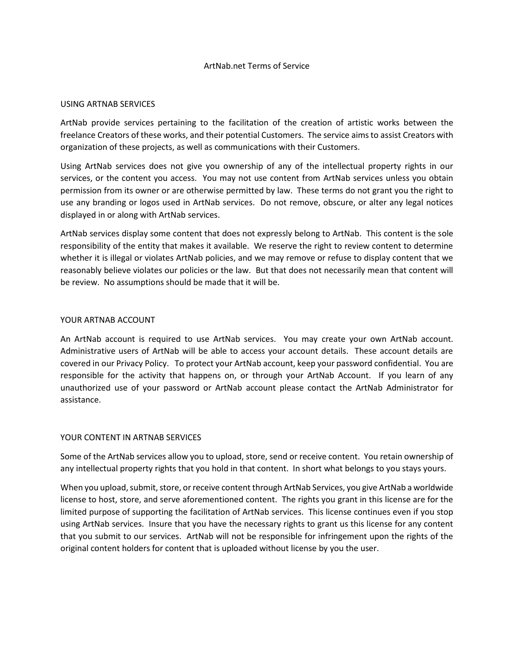#### ArtNab.net Terms of Service

#### USING ARTNAB SERVICES

ArtNab provide services pertaining to the facilitation of the creation of artistic works between the freelance Creators of these works, and their potential Customers. The service aims to assist Creators with organization of these projects, as well as communications with their Customers.

Using ArtNab services does not give you ownership of any of the intellectual property rights in our services, or the content you access. You may not use content from ArtNab services unless you obtain permission from its owner or are otherwise permitted by law. These terms do not grant you the right to use any branding or logos used in ArtNab services. Do not remove, obscure, or alter any legal notices displayed in or along with ArtNab services.

ArtNab services display some content that does not expressly belong to ArtNab. This content is the sole responsibility of the entity that makes it available. We reserve the right to review content to determine whether it is illegal or violates ArtNab policies, and we may remove or refuse to display content that we reasonably believe violates our policies or the law. But that does not necessarily mean that content will be review. No assumptions should be made that it will be.

### YOUR ARTNAB ACCOUNT

An ArtNab account is required to use ArtNab services. You may create your own ArtNab account. Administrative users of ArtNab will be able to access your account details. These account details are covered in our Privacy Policy. To protect your ArtNab account, keep your password confidential. You are responsible for the activity that happens on, or through your ArtNab Account. If you learn of any unauthorized use of your password or ArtNab account please contact the ArtNab Administrator for assistance.

#### YOUR CONTENT IN ARTNAB SERVICES

Some of the ArtNab services allow you to upload, store, send or receive content. You retain ownership of any intellectual property rights that you hold in that content. In short what belongs to you stays yours.

When you upload, submit, store, or receive content through ArtNab Services, you give ArtNab a worldwide license to host, store, and serve aforementioned content. The rights you grant in this license are for the limited purpose of supporting the facilitation of ArtNab services. This license continues even if you stop using ArtNab services. Insure that you have the necessary rights to grant us this license for any content that you submit to our services. ArtNab will not be responsible for infringement upon the rights of the original content holders for content that is uploaded without license by you the user.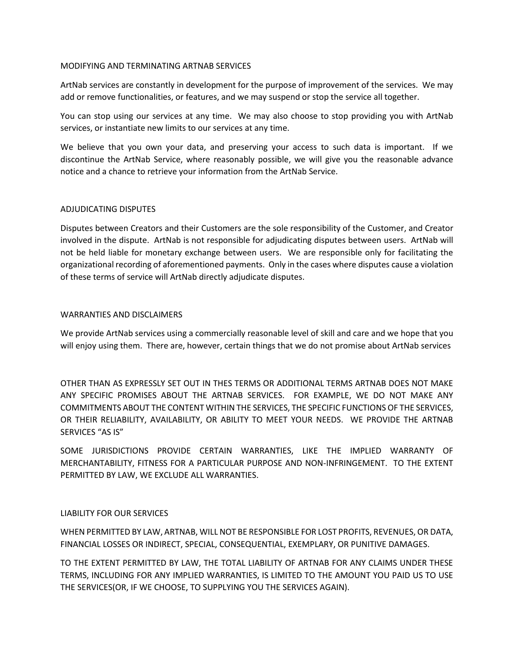#### MODIFYING AND TERMINATING ARTNAB SERVICES

ArtNab services are constantly in development for the purpose of improvement of the services. We may add or remove functionalities, or features, and we may suspend or stop the service all together.

You can stop using our services at any time. We may also choose to stop providing you with ArtNab services, or instantiate new limits to our services at any time.

We believe that you own your data, and preserving your access to such data is important. If we discontinue the ArtNab Service, where reasonably possible, we will give you the reasonable advance notice and a chance to retrieve your information from the ArtNab Service.

# ADJUDICATING DISPUTES

Disputes between Creators and their Customers are the sole responsibility of the Customer, and Creator involved in the dispute. ArtNab is not responsible for adjudicating disputes between users. ArtNab will not be held liable for monetary exchange between users. We are responsible only for facilitating the organizational recording of aforementioned payments. Only in the cases where disputes cause a violation of these terms of service will ArtNab directly adjudicate disputes.

### WARRANTIES AND DISCLAIMERS

We provide ArtNab services using a commercially reasonable level of skill and care and we hope that you will enjoy using them. There are, however, certain things that we do not promise about ArtNab services

OTHER THAN AS EXPRESSLY SET OUT IN THES TERMS OR ADDITIONAL TERMS ARTNAB DOES NOT MAKE ANY SPECIFIC PROMISES ABOUT THE ARTNAB SERVICES. FOR EXAMPLE, WE DO NOT MAKE ANY COMMITMENTS ABOUT THE CONTENT WITHIN THE SERVICES, THE SPECIFIC FUNCTIONS OF THE SERVICES, OR THEIR RELIABILITY, AVAILABILITY, OR ABILITY TO MEET YOUR NEEDS. WE PROVIDE THE ARTNAB SERVICES "AS IS"

SOME JURISDICTIONS PROVIDE CERTAIN WARRANTIES, LIKE THE IMPLIED WARRANTY OF MERCHANTABILITY, FITNESS FOR A PARTICULAR PURPOSE AND NON-INFRINGEMENT. TO THE EXTENT PERMITTED BY LAW, WE EXCLUDE ALL WARRANTIES.

# LIABILITY FOR OUR SERVICES

WHEN PERMITTED BY LAW, ARTNAB, WILL NOT BE RESPONSIBLE FOR LOST PROFITS, REVENUES, OR DATA, FINANCIAL LOSSES OR INDIRECT, SPECIAL, CONSEQUENTIAL, EXEMPLARY, OR PUNITIVE DAMAGES.

TO THE EXTENT PERMITTED BY LAW, THE TOTAL LIABILITY OF ARTNAB FOR ANY CLAIMS UNDER THESE TERMS, INCLUDING FOR ANY IMPLIED WARRANTIES, IS LIMITED TO THE AMOUNT YOU PAID US TO USE THE SERVICES(OR, IF WE CHOOSE, TO SUPPLYING YOU THE SERVICES AGAIN).